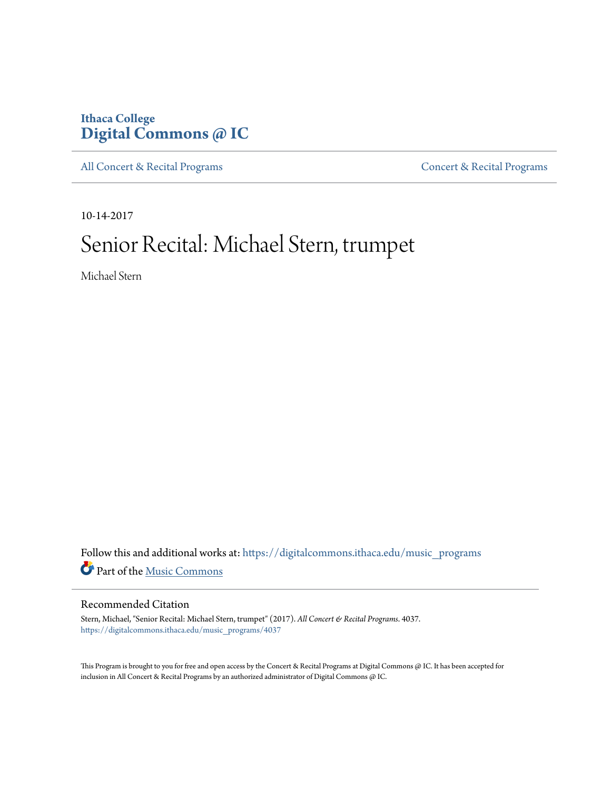## **Ithaca College [Digital Commons @ IC](https://digitalcommons.ithaca.edu?utm_source=digitalcommons.ithaca.edu%2Fmusic_programs%2F4037&utm_medium=PDF&utm_campaign=PDFCoverPages)**

[All Concert & Recital Programs](https://digitalcommons.ithaca.edu/music_programs?utm_source=digitalcommons.ithaca.edu%2Fmusic_programs%2F4037&utm_medium=PDF&utm_campaign=PDFCoverPages) **[Concert & Recital Programs](https://digitalcommons.ithaca.edu/som_programs?utm_source=digitalcommons.ithaca.edu%2Fmusic_programs%2F4037&utm_medium=PDF&utm_campaign=PDFCoverPages)** 

10-14-2017

# Senior Recital: Michael Stern, trumpet

Michael Stern

Follow this and additional works at: [https://digitalcommons.ithaca.edu/music\\_programs](https://digitalcommons.ithaca.edu/music_programs?utm_source=digitalcommons.ithaca.edu%2Fmusic_programs%2F4037&utm_medium=PDF&utm_campaign=PDFCoverPages) Part of the [Music Commons](http://network.bepress.com/hgg/discipline/518?utm_source=digitalcommons.ithaca.edu%2Fmusic_programs%2F4037&utm_medium=PDF&utm_campaign=PDFCoverPages)

#### Recommended Citation

Stern, Michael, "Senior Recital: Michael Stern, trumpet" (2017). *All Concert & Recital Programs*. 4037. [https://digitalcommons.ithaca.edu/music\\_programs/4037](https://digitalcommons.ithaca.edu/music_programs/4037?utm_source=digitalcommons.ithaca.edu%2Fmusic_programs%2F4037&utm_medium=PDF&utm_campaign=PDFCoverPages)

This Program is brought to you for free and open access by the Concert & Recital Programs at Digital Commons @ IC. It has been accepted for inclusion in All Concert & Recital Programs by an authorized administrator of Digital Commons @ IC.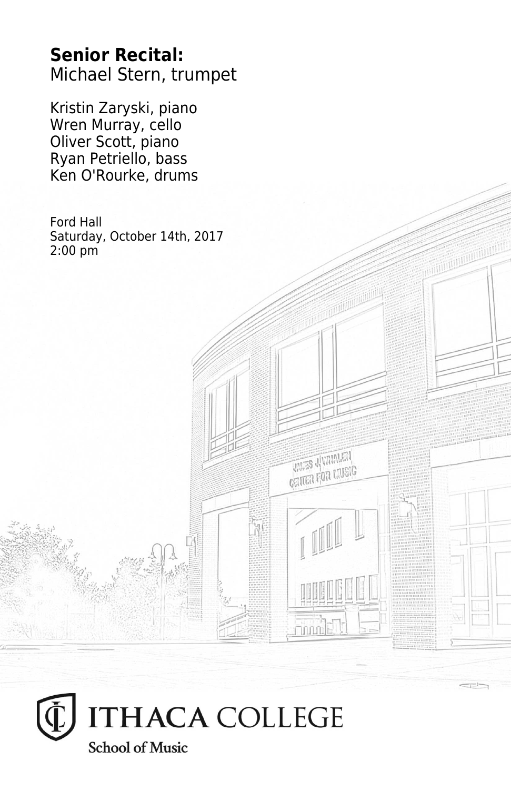